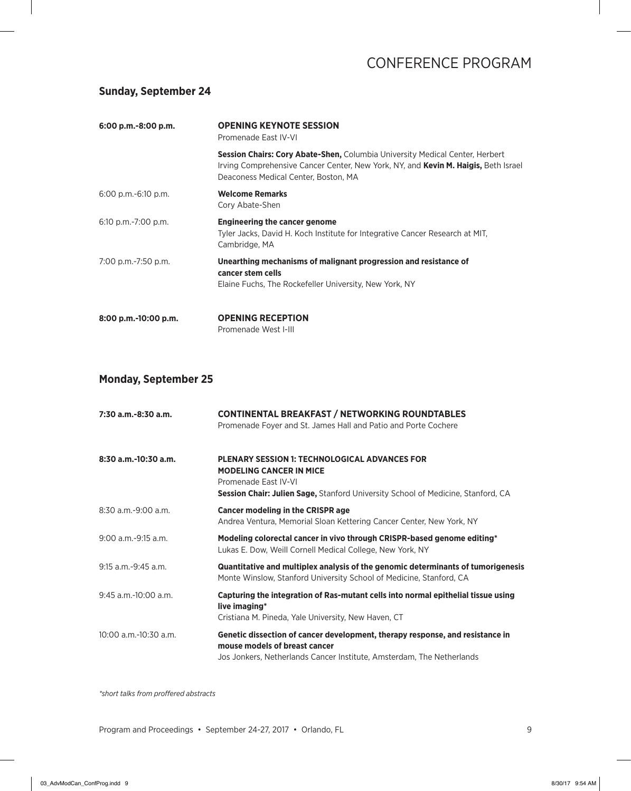#### **Sunday, September 24**

| 6:00 p.m.-8:00 p.m.      | <b>OPENING KEYNOTE SESSION</b><br>Promenade East IV-VI                                                                                                                                                                   |  |
|--------------------------|--------------------------------------------------------------------------------------------------------------------------------------------------------------------------------------------------------------------------|--|
|                          | <b>Session Chairs: Cory Abate-Shen, Columbia University Medical Center, Herbert</b><br>Irving Comprehensive Cancer Center, New York, NY, and <b>Kevin M. Haigis,</b> Beth Israel<br>Deaconess Medical Center, Boston, MA |  |
| $6:00$ p.m.- $6:10$ p.m. | <b>Welcome Remarks</b><br>Cory Abate-Shen                                                                                                                                                                                |  |
| $6:10$ p.m.-7:00 p.m.    | <b>Engineering the cancer genome</b><br>Tyler Jacks, David H. Koch Institute for Integrative Cancer Research at MIT,<br>Cambridge, MA                                                                                    |  |
| 7:00 p.m.-7:50 p.m.      | Unearthing mechanisms of malignant progression and resistance of<br>cancer stem cells<br>Elaine Fuchs, The Rockefeller University, New York, NY                                                                          |  |
| 8:00 p.m.-10:00 p.m.     | <b>OPENING RECEPTION</b><br>Promenade West I-III                                                                                                                                                                         |  |

### **Monday, September 25**

| $7:30$ a.m.-8:30 a.m.      | <b>CONTINENTAL BREAKFAST / NETWORKING ROUNDTABLES</b><br>Promenade Foyer and St. James Hall and Patio and Porte Cochere                                                                                   |
|----------------------------|-----------------------------------------------------------------------------------------------------------------------------------------------------------------------------------------------------------|
| 8:30 a.m.-10:30 a.m.       | <b>PLENARY SESSION 1: TECHNOLOGICAL ADVANCES FOR</b><br><b>MODELING CANCER IN MICE</b><br>Promenade East IV-VI<br><b>Session Chair: Julien Sage, Stanford University School of Medicine, Stanford, CA</b> |
| $8:30$ a.m. $-9:00$ a.m.   | <b>Cancer modeling in the CRISPR age</b><br>Andrea Ventura, Memorial Sloan Kettering Cancer Center, New York, NY                                                                                          |
| $9:00$ a.m.-9:15 a.m.      | Modeling colorectal cancer in vivo through CRISPR-based genome editing*<br>Lukas E. Dow, Weill Cornell Medical College, New York, NY                                                                      |
| $9:15$ a.m. $-9:45$ a.m.   | Quantitative and multiplex analysis of the genomic determinants of tumorigenesis<br>Monte Winslow, Stanford University School of Medicine, Stanford, CA                                                   |
| $9:45$ a.m.-10:00 a.m.     | Capturing the integration of Ras-mutant cells into normal epithelial tissue using<br>live imaging*<br>Cristiana M. Pineda, Yale University, New Haven, CT                                                 |
| $10:00$ a.m. $-10:30$ a.m. | Genetic dissection of cancer development, therapy response, and resistance in<br>mouse models of breast cancer<br>Jos Jonkers, Netherlands Cancer Institute, Amsterdam, The Netherlands                   |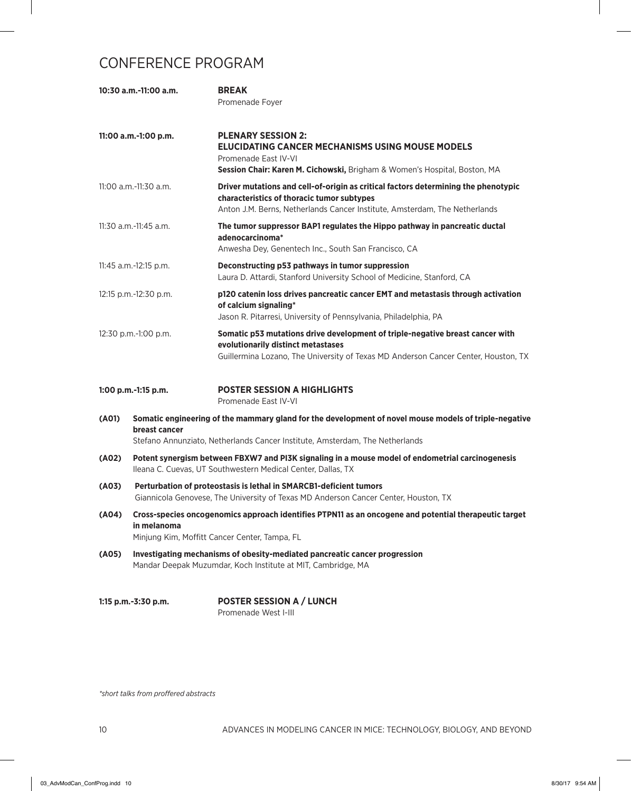|       | 10:30 a.m.-11:00 a.m.                                                                                                                                     | <b>BREAK</b><br>Promenade Foyer                                                                                                                                                                                |
|-------|-----------------------------------------------------------------------------------------------------------------------------------------------------------|----------------------------------------------------------------------------------------------------------------------------------------------------------------------------------------------------------------|
|       | 11:00 a.m.-1:00 p.m.                                                                                                                                      | <b>PLENARY SESSION 2:</b><br><b>ELUCIDATING CANCER MECHANISMS USING MOUSE MODELS</b><br>Promenade East IV-VI<br>Session Chair: Karen M. Cichowski, Brigham & Women's Hospital, Boston, MA                      |
|       | $11:00$ a.m.- $11:30$ a.m.                                                                                                                                | Driver mutations and cell-of-origin as critical factors determining the phenotypic<br>characteristics of thoracic tumor subtypes<br>Anton J.M. Berns, Netherlands Cancer Institute, Amsterdam, The Netherlands |
|       | 11:30 a.m.-11:45 a.m.                                                                                                                                     | The tumor suppressor BAP1 regulates the Hippo pathway in pancreatic ductal<br>adenocarcinoma*<br>Anwesha Dey, Genentech Inc., South San Francisco, CA                                                          |
|       | 11:45 a.m.-12:15 p.m.                                                                                                                                     | Deconstructing p53 pathways in tumor suppression<br>Laura D. Attardi, Stanford University School of Medicine, Stanford, CA                                                                                     |
|       | 12:15 p.m.-12:30 p.m.                                                                                                                                     | p120 catenin loss drives pancreatic cancer EMT and metastasis through activation<br>of calcium signaling*<br>Jason R. Pitarresi, University of Pennsylvania, Philadelphia, PA                                  |
|       | 12:30 p.m.-1:00 p.m.                                                                                                                                      | Somatic p53 mutations drive development of triple-negative breast cancer with<br>evolutionarily distinct metastases<br>Guillermina Lozano, The University of Texas MD Anderson Cancer Center, Houston, TX      |
|       | 1:00 p.m.-1:15 p.m.                                                                                                                                       | <b>POSTER SESSION A HIGHLIGHTS</b><br>Promenade East IV-VI                                                                                                                                                     |
| (A01) | breast cancer                                                                                                                                             | Somatic engineering of the mammary gland for the development of novel mouse models of triple-negative<br>Stefano Annunziato, Netherlands Cancer Institute, Amsterdam, The Netherlands                          |
| (A02) |                                                                                                                                                           | Potent synergism between FBXW7 and PI3K signaling in a mouse model of endometrial carcinogenesis<br>Ileana C. Cuevas, UT Southwestern Medical Center, Dallas, TX                                               |
| (A03) | Perturbation of proteostasis is lethal in SMARCB1-deficient tumors<br>Giannicola Genovese, The University of Texas MD Anderson Cancer Center, Houston, TX |                                                                                                                                                                                                                |
| (A04) | in melanoma                                                                                                                                               | Cross-species oncogenomics approach identifies PTPN11 as an oncogene and potential therapeutic target<br>Minjung Kim, Moffitt Cancer Center, Tampa, FL                                                         |
| (A05) | Investigating mechanisms of obesity-mediated pancreatic cancer progression<br>Mandar Deepak Muzumdar, Koch Institute at MIT, Cambridge, MA                |                                                                                                                                                                                                                |
|       | 1:15 p.m.-3:30 p.m.                                                                                                                                       | <b>POSTER SESSION A / LUNCH</b><br>Promenade West I-III                                                                                                                                                        |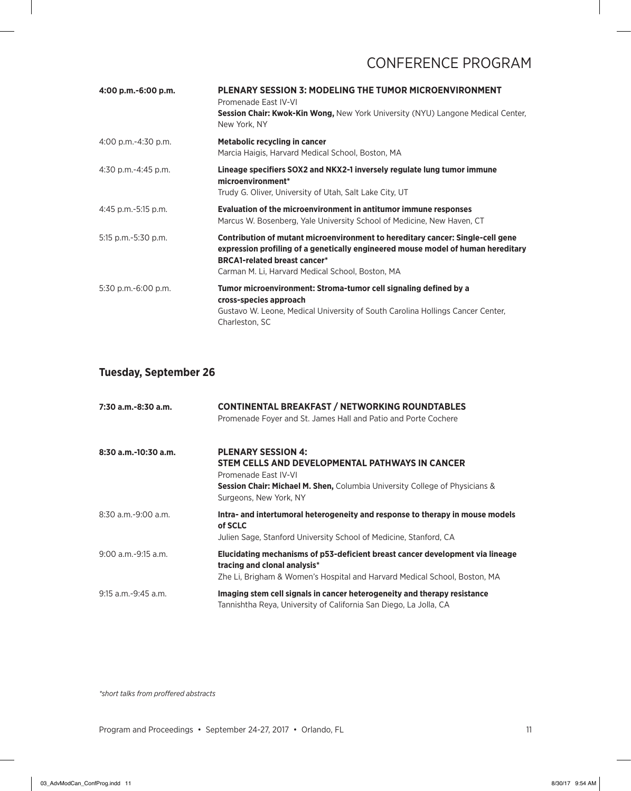| 4:00 p.m.-6:00 p.m.      | <b>PLENARY SESSION 3: MODELING THE TUMOR MICROENVIRONMENT</b><br>Promenade East IV-VI<br>Session Chair: Kwok-Kin Wong, New York University (NYU) Langone Medical Center,<br>New York, NY                                                                      |
|--------------------------|---------------------------------------------------------------------------------------------------------------------------------------------------------------------------------------------------------------------------------------------------------------|
| 4:00 p.m.-4:30 p.m.      | <b>Metabolic recycling in cancer</b><br>Marcia Haigis, Harvard Medical School, Boston, MA                                                                                                                                                                     |
| $4:30$ p.m.- $4:45$ p.m. | Lineage specifiers SOX2 and NKX2-1 inversely regulate lung tumor immune<br>microenvironment*<br>Trudy G. Oliver, University of Utah, Salt Lake City, UT                                                                                                       |
| 4:45 p.m.-5:15 p.m.      | Evaluation of the microenvironment in antitumor immune responses<br>Marcus W. Bosenberg, Yale University School of Medicine, New Haven, CT                                                                                                                    |
| 5:15 p.m.-5:30 p.m.      | Contribution of mutant microenvironment to hereditary cancer: Single-cell gene<br>expression profiling of a genetically engineered mouse model of human hereditary<br><b>BRCA1-related breast cancer*</b><br>Carman M. Li, Harvard Medical School, Boston, MA |
| 5:30 p.m.-6:00 p.m.      | Tumor microenvironment: Stroma-tumor cell signaling defined by a<br>cross-species approach<br>Gustavo W. Leone, Medical University of South Carolina Hollings Cancer Center,<br>Charleston, SC                                                                |

### **Tuesday, September 26**

| 7:30 a.m.-8:30 a.m.      | <b>CONTINENTAL BREAKFAST / NETWORKING ROUNDTABLES</b><br>Promenade Foyer and St. James Hall and Patio and Porte Cochere                                                                                                  |
|--------------------------|--------------------------------------------------------------------------------------------------------------------------------------------------------------------------------------------------------------------------|
| $8:30$ a.m.-10:30 a.m.   | <b>PLENARY SESSION 4:</b><br>STEM CELLS AND DEVELOPMENTAL PATHWAYS IN CANCER<br>Promenade Fast IV-VI<br><b>Session Chair: Michael M. Shen, Columbia University College of Physicians &amp;</b><br>Surgeons, New York, NY |
| $8:30$ a.m.-9:00 a.m.    | Intra- and intertumoral heterogeneity and response to therapy in mouse models<br>of SCLC<br>Julien Sage, Stanford University School of Medicine, Stanford, CA                                                            |
| $9:00$ a.m.- $9:15$ a.m. | Elucidating mechanisms of p53-deficient breast cancer development via lineage<br>tracing and clonal analysis*<br>Zhe Li, Brigham & Women's Hospital and Harvard Medical School, Boston, MA                               |
| 9:15 a.m.-9:45 a.m.      | Imaging stem cell signals in cancer heterogeneity and therapy resistance<br>Tannishtha Reya, University of California San Diego, La Jolla, CA                                                                            |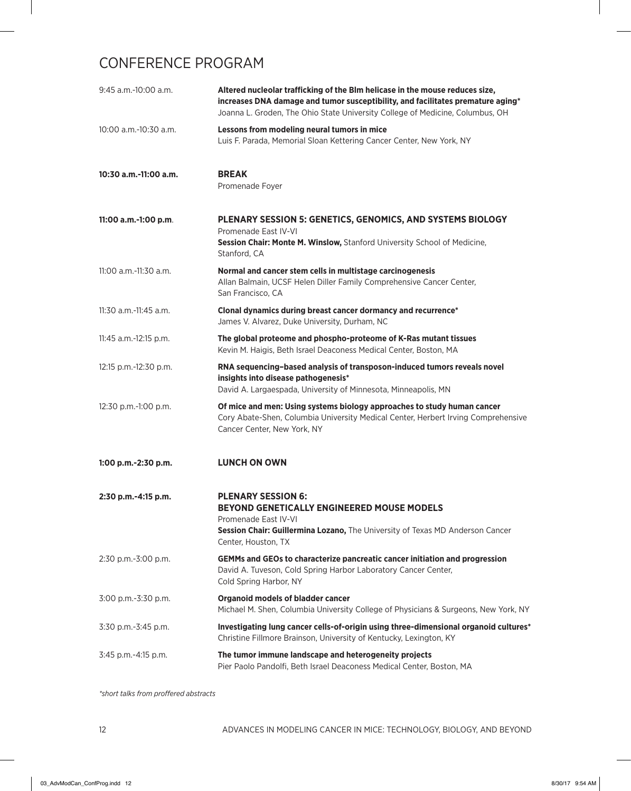| $9:45$ a.m.-10:00 a.m.     | Altered nucleolar trafficking of the Blm helicase in the mouse reduces size,<br>increases DNA damage and tumor susceptibility, and facilitates premature aging*<br>Joanna L. Groden, The Ohio State University College of Medicine, Columbus, OH |
|----------------------------|--------------------------------------------------------------------------------------------------------------------------------------------------------------------------------------------------------------------------------------------------|
| 10:00 a.m.-10:30 a.m.      | Lessons from modeling neural tumors in mice<br>Luis F. Parada, Memorial Sloan Kettering Cancer Center, New York, NY                                                                                                                              |
| 10:30 a.m.-11:00 a.m.      | <b>BREAK</b><br>Promenade Foyer                                                                                                                                                                                                                  |
| 11:00 a.m.-1:00 p.m.       | PLENARY SESSION 5: GENETICS, GENOMICS, AND SYSTEMS BIOLOGY<br>Promenade East IV-VI<br>Session Chair: Monte M. Winslow, Stanford University School of Medicine,<br>Stanford, CA                                                                   |
| $11:00$ a.m.- $11:30$ a.m. | Normal and cancer stem cells in multistage carcinogenesis<br>Allan Balmain, UCSF Helen Diller Family Comprehensive Cancer Center,<br>San Francisco, CA                                                                                           |
| 11:30 a.m.-11:45 a.m.      | Clonal dynamics during breast cancer dormancy and recurrence*<br>James V. Alvarez, Duke University, Durham, NC                                                                                                                                   |
| 11:45 a.m.-12:15 p.m.      | The global proteome and phospho-proteome of K-Ras mutant tissues<br>Kevin M. Haigis, Beth Israel Deaconess Medical Center, Boston, MA                                                                                                            |
| 12:15 p.m.-12:30 p.m.      | RNA sequencing-based analysis of transposon-induced tumors reveals novel<br>insights into disease pathogenesis*<br>David A. Largaespada, University of Minnesota, Minneapolis, MN                                                                |
| 12:30 p.m.-1:00 p.m.       | Of mice and men: Using systems biology approaches to study human cancer<br>Cory Abate-Shen, Columbia University Medical Center, Herbert Irving Comprehensive<br>Cancer Center, New York, NY                                                      |
| 1:00 p.m.-2:30 p.m.        | <b>LUNCH ON OWN</b>                                                                                                                                                                                                                              |
| 2:30 p.m.-4:15 p.m.        | <b>PLENARY SESSION 6:</b><br><b>BEYOND GENETICALLY ENGINEERED MOUSE MODELS</b><br>Promenade East IV-VI<br>Session Chair: Guillermina Lozano, The University of Texas MD Anderson Cancer<br>Center, Houston, TX                                   |
| 2:30 p.m.-3:00 p.m.        | GEMMs and GEOs to characterize pancreatic cancer initiation and progression<br>David A. Tuveson, Cold Spring Harbor Laboratory Cancer Center,<br>Cold Spring Harbor, NY                                                                          |
| 3:00 p.m.-3:30 p.m.        | <b>Organoid models of bladder cancer</b><br>Michael M. Shen, Columbia University College of Physicians & Surgeons, New York, NY                                                                                                                  |
| 3:30 p.m.-3:45 p.m.        | Investigating lung cancer cells-of-origin using three-dimensional organoid cultures*<br>Christine Fillmore Brainson, University of Kentucky, Lexington, KY                                                                                       |
| 3:45 p.m.-4:15 p.m.        | The tumor immune landscape and heterogeneity projects<br>Pier Paolo Pandolfi, Beth Israel Deaconess Medical Center, Boston, MA                                                                                                                   |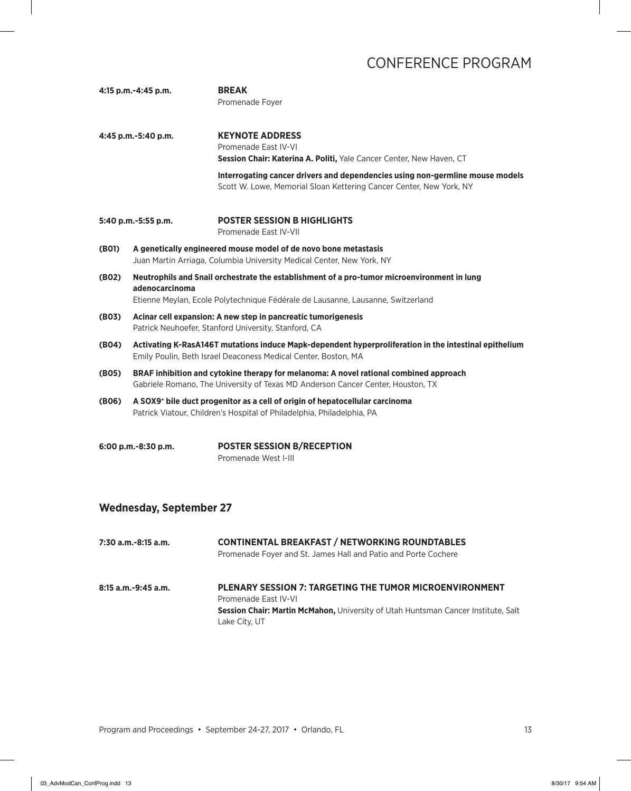**4:15 p.m.-4:45 p.m. BREAK**  Promenade Foyer **4:45 p.m.-5:40 p.m. KEYNOTE ADDRESS** Promenade East IV-VI **Session Chair: Katerina A. Politi,** Yale Cancer Center, New Haven, CT **Interrogating cancer drivers and dependencies using non-germline mouse models** Scott W. Lowe, Memorial Sloan Kettering Cancer Center, New York, NY **5:40 p.m.-5:55 p.m. POSTER SESSION B HIGHLIGHTS** Promenade East IV-VII **(B01) A genetically engineered mouse model of de novo bone metastasis** Juan Martin Arriaga, Columbia University Medical Center, New York, NY **(B02) Neutrophils and Snail orchestrate the establishment of a pro-tumor microenvironment in lung adenocarcinoma** Etienne Meylan, Ecole Polytechnique Fédérale de Lausanne, Lausanne, Switzerland **(B03) Acinar cell expansion: A new step in pancreatic tumorigenesis** Patrick Neuhoefer, Stanford University, Stanford, CA **(B04) Activating K-RasA146T mutations induce Mapk-dependent hyperproliferation in the intestinal epithelium** Emily Poulin, Beth Israel Deaconess Medical Center, Boston, MA **(B05) BRAF inhibition and cytokine therapy for melanoma: A novel rational combined approach** Gabriele Romano, The University of Texas MD Anderson Cancer Center, Houston, TX **(B06) A SOX9+ bile duct progenitor as a cell of origin of hepatocellular carcinoma** Patrick Viatour, Children's Hospital of Philadelphia, Philadelphia, PA

**6:00 p.m.-8:30 p.m. POSTER SESSION B/RECEPTION** Promenade West I-III

#### **Wednesday, September 27**

| 7:30 a.m.-8:15 a.m. | <b>CONTINENTAL BREAKFAST / NETWORKING ROUNDTABLES</b><br>Promenade Foyer and St. James Hall and Patio and Porte Cochere |
|---------------------|-------------------------------------------------------------------------------------------------------------------------|
| 8:15 a.m.-9:45 a.m. | <b>PLENARY SESSION 7: TARGETING THE TUMOR MICROENVIRONMENT</b>                                                          |
|                     | Promenade Fast IV-VI                                                                                                    |
|                     | Session Chair: Martin McMahon, University of Utah Huntsman Cancer Institute, Salt                                       |
|                     | Lake City, UT                                                                                                           |